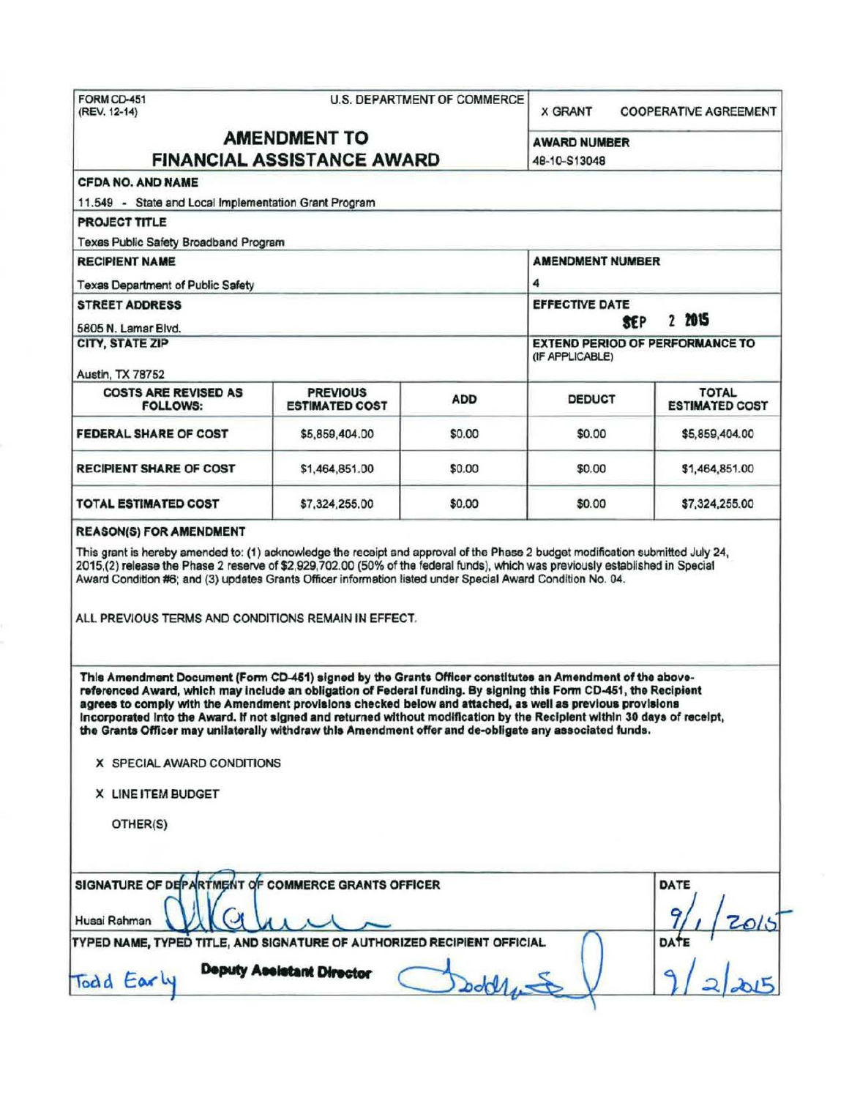|                                                                                                                                                                                                                                                                                                                                                                                                                                                                                                                                        | FORM CD-451<br><b>U.S. DEPARTMENT OF COMMERCE.</b><br>(REV. 12-14) |                                               |                     | <b>X GRANT</b><br><b>COOPERATIVE AGREEMENT</b> |  |
|----------------------------------------------------------------------------------------------------------------------------------------------------------------------------------------------------------------------------------------------------------------------------------------------------------------------------------------------------------------------------------------------------------------------------------------------------------------------------------------------------------------------------------------|--------------------------------------------------------------------|-----------------------------------------------|---------------------|------------------------------------------------|--|
|                                                                                                                                                                                                                                                                                                                                                                                                                                                                                                                                        | <b>AMENDMENT TO</b>                                                |                                               | <b>AWARD NUMBER</b> |                                                |  |
| <b>FINANCIAL ASSISTANCE AWARD</b>                                                                                                                                                                                                                                                                                                                                                                                                                                                                                                      | 48-10-S13048                                                       |                                               |                     |                                                |  |
| <b>CFDA NO. AND NAME</b>                                                                                                                                                                                                                                                                                                                                                                                                                                                                                                               |                                                                    |                                               |                     |                                                |  |
| 11.549 - State and Local Implementation Grant Program                                                                                                                                                                                                                                                                                                                                                                                                                                                                                  |                                                                    |                                               |                     |                                                |  |
| PROJECT TITLE                                                                                                                                                                                                                                                                                                                                                                                                                                                                                                                          |                                                                    |                                               |                     |                                                |  |
| Texas Public Safety Broadband Program                                                                                                                                                                                                                                                                                                                                                                                                                                                                                                  |                                                                    |                                               |                     |                                                |  |
| <b>RECIPIENT NAME</b>                                                                                                                                                                                                                                                                                                                                                                                                                                                                                                                  | <b>AMENDMENT NUMBER</b>                                            |                                               |                     |                                                |  |
| <b>Texas Department of Public Safety</b>                                                                                                                                                                                                                                                                                                                                                                                                                                                                                               |                                                                    |                                               | 4                   |                                                |  |
| <b>STREET ADDRESS</b>                                                                                                                                                                                                                                                                                                                                                                                                                                                                                                                  |                                                                    | <b>EFFECTIVE DATE</b><br>2 2015<br><b>SEP</b> |                     |                                                |  |
| 5805 N. Lamar Blvd.<br>CITY, STATE ZIP                                                                                                                                                                                                                                                                                                                                                                                                                                                                                                 |                                                                    |                                               |                     | <b>EXTEND PERIOD OF PERFORMANCE TO</b>         |  |
|                                                                                                                                                                                                                                                                                                                                                                                                                                                                                                                                        |                                                                    |                                               | (IF APPLICABLE)     |                                                |  |
| <b>Austin, TX 78752</b>                                                                                                                                                                                                                                                                                                                                                                                                                                                                                                                |                                                                    |                                               |                     |                                                |  |
| <b>COSTS ARE REVISED AS</b><br><b>FOLLOWS:</b>                                                                                                                                                                                                                                                                                                                                                                                                                                                                                         | <b>PREVIOUS</b><br><b>ESTIMATED COST</b>                           | <b>ADD</b>                                    | <b>DEDUCT</b>       | <b>TOTAL</b><br><b>ESTIMATED COST</b>          |  |
| <b>FEDERAL SHARE OF COST</b>                                                                                                                                                                                                                                                                                                                                                                                                                                                                                                           | \$5,859,404.00                                                     | \$0.00                                        | \$0.00              | \$5,859,404.00                                 |  |
| <b>RECIPIENT SHARE OF COST</b>                                                                                                                                                                                                                                                                                                                                                                                                                                                                                                         | \$1,464,851.00                                                     | \$0.00                                        | \$0.00              | \$1,464,851.00                                 |  |
|                                                                                                                                                                                                                                                                                                                                                                                                                                                                                                                                        |                                                                    |                                               |                     |                                                |  |
|                                                                                                                                                                                                                                                                                                                                                                                                                                                                                                                                        | \$7,324,255.00                                                     | \$0.00                                        | \$0.00              | \$7,324,255.00                                 |  |
| <b>TOTAL ESTIMATED COST</b><br><b>REASON(S) FOR AMENDMENT</b><br>This grant is hereby amended to: (1) acknowledge the receipt and approval of the Phase 2 budget modification submitted July 24,<br>2015,(2) release the Phase 2 reserve of \$2,929,702.00 (50% of the federal funds), which was previously established in Special<br>Award Condition #6; and (3) updates Grants Officer information listed under Special Award Condition No. 04.<br>ALL PREVIOUS TERMS AND CONDITIONS REMAIN IN EFFECT.                               |                                                                    |                                               |                     |                                                |  |
| This Amendment Document (Form CD-451) signed by the Grants Officer constitutes an Amendment of the above-<br>referenced Award, which may include an obligation of Federal funding. By signing this Form CD-451, the Recipient<br>agrees to comply with the Amendment provisions checked below and attached, as well as previous provisions<br>Incorporated into the Award. If not signed and returned without modification by the Recipient within 30 days of receipt,<br>X SPECIAL AWARD CONDITIONS<br>X LINE ITEM BUDGET<br>OTHER(S) |                                                                    |                                               |                     |                                                |  |
|                                                                                                                                                                                                                                                                                                                                                                                                                                                                                                                                        |                                                                    |                                               |                     | DATE                                           |  |
| the Grants Officer may unilaterally withdraw this Amendment offer and de-obligate any associated funds.<br>SIGNATURE OF DEPARTMENT OF COMMERCE GRANTS OFFICER<br>Husai Rahman                                                                                                                                                                                                                                                                                                                                                          |                                                                    |                                               |                     |                                                |  |
| TYPED NAME, TYPED TITLE, AND SIGNATURE OF AUTHORIZED RECIPIENT OFFICIAL                                                                                                                                                                                                                                                                                                                                                                                                                                                                | <b>Deputy Assistant Director</b>                                   |                                               |                     | 12015<br><b>DATE</b>                           |  |